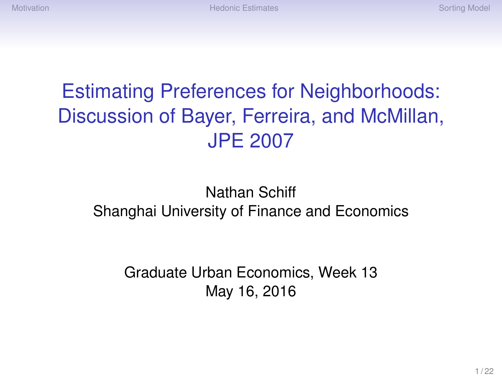# Estimating Preferences for Neighborhoods: Discussion of Bayer, Ferreira, and McMillan, JPE 2007

#### Nathan Schiff Shanghai University of Finance and Economics

Graduate Urban Economics, Week 13 May 16, 2016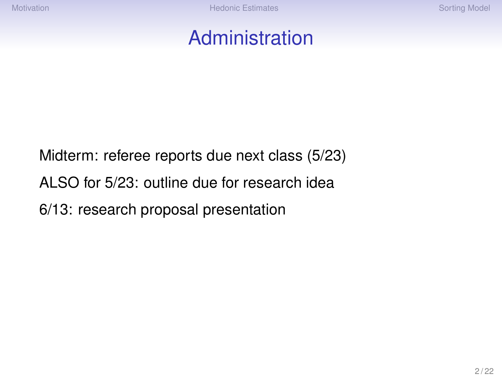### Administration

Midterm: referee reports due next class (5/23) ALSO for 5/23: outline due for research idea 6/13: research proposal presentation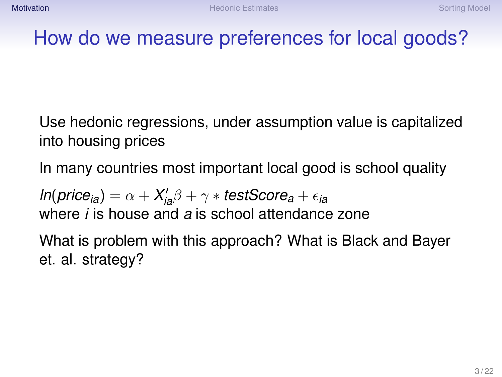## <span id="page-2-0"></span>How do we measure preferences for local goods?

Use hedonic regressions, under assumption value is capitalized into housing prices

In many countries most important local good is school quality

 $ln(price_{ia}) = \alpha + X_{ia}'\beta + \gamma * testScore_a + \epsilon_{ia}$ where *i* is house and *a* is school attendance zone

What is problem with this approach? What is Black and Bayer et. al. strategy?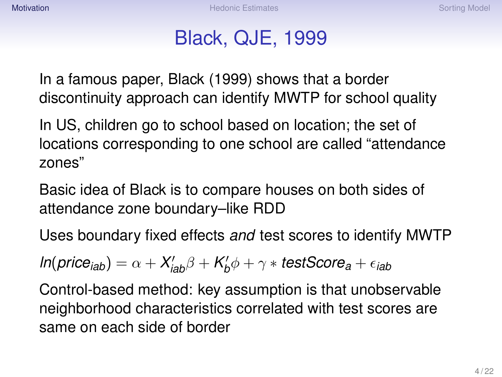## Black, QJE, 1999

In a famous paper, Black (1999) shows that a border discontinuity approach can identify MWTP for school quality

In US, children go to school based on location; the set of locations corresponding to one school are called "attendance zones"

Basic idea of Black is to compare houses on both sides of attendance zone boundary–like RDD

Uses boundary fixed effects *and* test scores to identify MWTP

$$
\textit{In}(\textit{price}_\textit{iab}) = \alpha + X'_\textit{iab}\beta + K'_b\phi + \gamma * \textit{testScore}_a + \epsilon_\textit{iab}
$$

Control-based method: key assumption is that unobservable neighborhood characteristics correlated with test scores are same on each side of border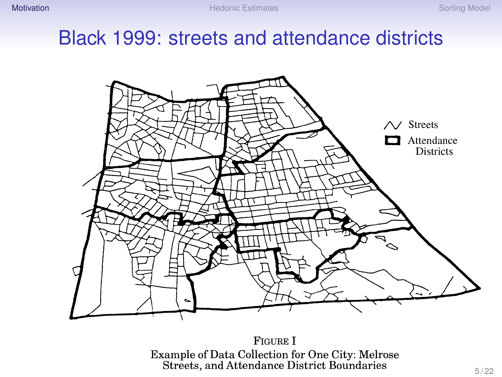## Black 1999: streets and attendance districts



**FIGURE I** Example of Data Collection for One City: Melrose<br>Streets, and Attendance District Boundaries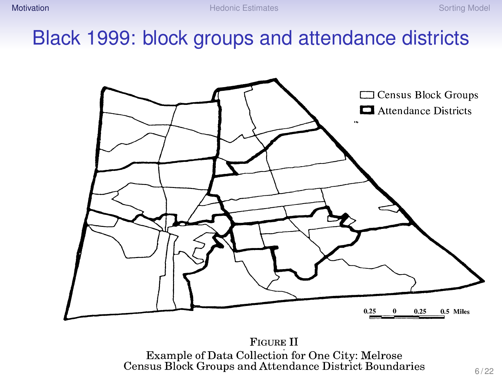## Black 1999: block groups and attendance districts



**FIGURE II** Example of Data Collection for One City: Melrose<br>Census Block Groups and Attendance District Boundaries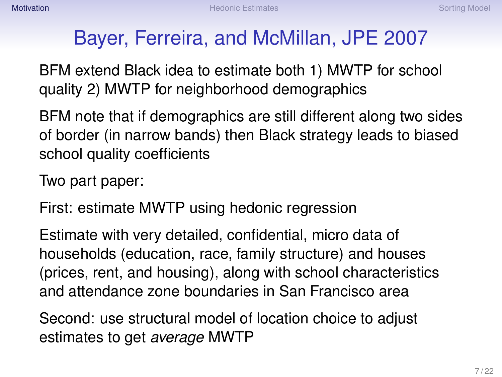## Bayer, Ferreira, and McMillan, JPE 2007

BFM extend Black idea to estimate both 1) MWTP for school quality 2) MWTP for neighborhood demographics

BFM note that if demographics are still different along two sides of border (in narrow bands) then Black strategy leads to biased school quality coefficients

Two part paper:

First: estimate MWTP using hedonic regression

Estimate with very detailed, confidential, micro data of households (education, race, family structure) and houses (prices, rent, and housing), along with school characteristics and attendance zone boundaries in San Francisco area

Second: use structural model of location choice to adjust estimates to get *average* MWTP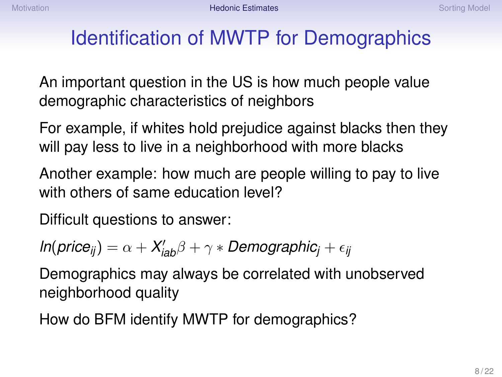## <span id="page-7-0"></span>Identification of MWTP for Demographics

An important question in the US is how much people value demographic characteristics of neighbors

For example, if whites hold prejudice against blacks then they will pay less to live in a neighborhood with more blacks

Another example: how much are people willing to pay to live with others of same education level?

Difficult questions to answer:

$$
In(price_{ij}) = \alpha + X'_{iab}\beta + \gamma * Demographic_j + \epsilon_{ij}
$$

Demographics may always be correlated with unobserved neighborhood quality

How do BFM identify MWTP for demographics?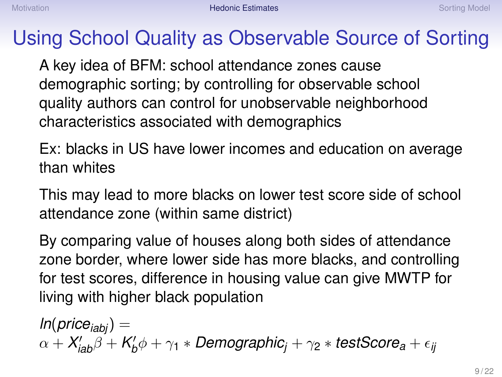## Using School Quality as Observable Source of Sorting

A key idea of BFM: school attendance zones cause demographic sorting; by controlling for observable school quality authors can control for unobservable neighborhood characteristics associated with demographics

Ex: blacks in US have lower incomes and education on average than whites

This may lead to more blacks on lower test score side of school attendance zone (within same district)

By comparing value of houses along both sides of attendance zone border, where lower side has more blacks, and controlling for test scores, difference in housing value can give MWTP for living with higher black population

 $ln(p$ *rice*<sub>*iabi*</sub> $) =$  $\alpha + X_{\mathsf{i}\mathsf{a}\mathsf{b}}' \beta + K_{\mathsf{b}}' \phi + \gamma_1 * \mathsf{Demographic}_j + \gamma_2 * \mathsf{testScore}_\mathsf{a} + \epsilon_{\mathsf{ij}}$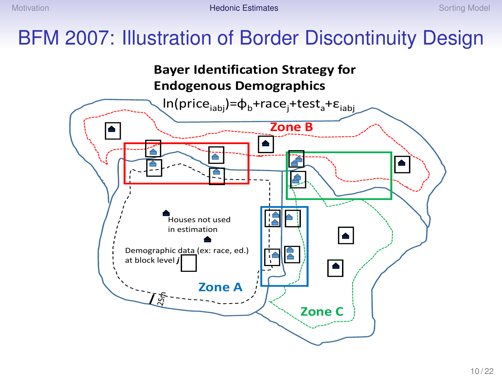## BFM 2007: Illustration of Border Discontinuity Design

#### **Bayer Identification Strategy for Endogenous Demographics**

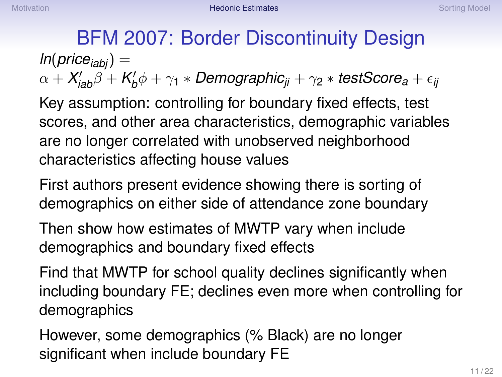BFM 2007: Border Discontinuity Design  $ln(p$ *rice*<sub>*iabi*</sub> $) =$  $\alpha + X_{\mathsf{i}\mathsf{a}\mathsf{b}}' \beta + K_{\mathsf{b}}' \phi + \gamma_1 * \mathsf{Demographic}_{\mathsf{j}\mathsf{i}} + \gamma_2 * \mathsf{testScore}_{\mathsf{a}} + \epsilon_{\mathsf{ij}}$ 

Key assumption: controlling for boundary fixed effects, test scores, and other area characteristics, demographic variables are no longer correlated with unobserved neighborhood characteristics affecting house values

First authors present evidence showing there is sorting of demographics on either side of attendance zone boundary

Then show how estimates of MWTP vary when include demographics and boundary fixed effects

Find that MWTP for school quality declines significantly when including boundary FE; declines even more when controlling for demographics

However, some demographics (% Black) are no longer significant when include boundary FE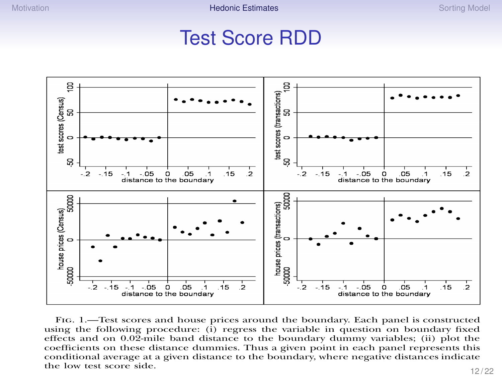#### Test Score RDD



Fig. 1.—Test scores and house prices around the boundary. Each panel is constructed using the following procedure:  $(i)$  regress the variable in question on boundary fixed effects and on 0.02-mile band distance to the boundary dummy variables; (ii) plot the coefficients on these distance dummies. Thus a given point in each panel represents this conditional average at a given distance to the boundary, where negative distances indicate the low test score side.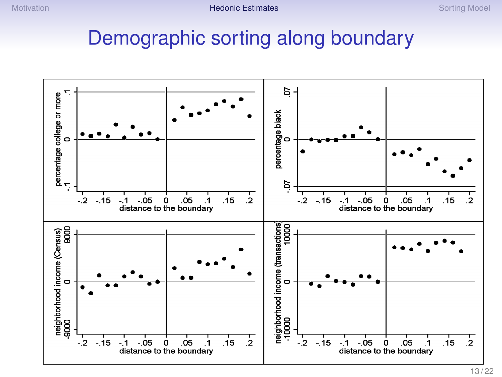#### Demographic sorting along boundary

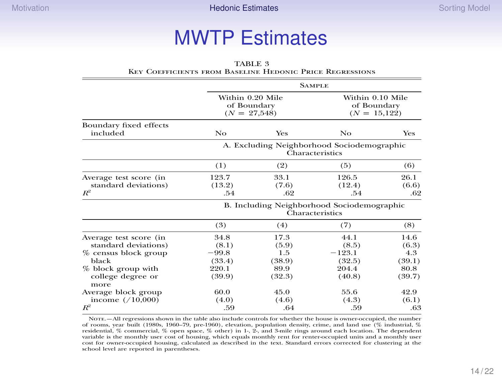# **preferences MWTP** Estimates

|                                                                                 | COEFFICIER IS FROM DASELINE HEDONIC I RICE INEURESSIONS       |                                |                                                   |                                |  |  |
|---------------------------------------------------------------------------------|---------------------------------------------------------------|--------------------------------|---------------------------------------------------|--------------------------------|--|--|
|                                                                                 | <b>SAMPLE</b>                                                 |                                |                                                   |                                |  |  |
|                                                                                 | Within 0.20 Mile<br>of Boundary<br>$(N = 27,548)$             |                                | Within 0.10 Mile<br>of Boundary<br>$(N = 15,122)$ |                                |  |  |
| Boundary fixed effects<br>included                                              | No                                                            | Yes                            | No                                                | Yes                            |  |  |
|                                                                                 | A. Excluding Neighborhood Sociodemographic<br>Characteristics |                                |                                                   |                                |  |  |
|                                                                                 | (1)                                                           | (2)                            | (5)                                               | (6)                            |  |  |
| Average test score (in<br>standard deviations)<br>$R^2$                         | 123.7<br>(13.2)<br>.54                                        | 33.1<br>(7.6)<br>.62           | 126.5<br>(12.4)<br>.54                            | 26.1<br>(6.6)<br>.62           |  |  |
|                                                                                 | B. Including Neighborhood Sociodemographic<br>Characteristics |                                |                                                   |                                |  |  |
|                                                                                 | (3)                                                           | (4)                            | (7)                                               | (8)                            |  |  |
| Average test score (in<br>standard deviations)<br>% census block group<br>black | 34.8<br>(8.1)<br>$-99.8$<br>(33.4)                            | 17.3<br>(5.9)<br>1.5<br>(38.9) | 44.1<br>(8.5)<br>$-123.1$<br>(32.5)               | 14.6<br>(6.3)<br>4.3<br>(39.1) |  |  |
| % block group with<br>college degree or<br>more                                 | 220.1<br>(39.9)                                               | 89.9<br>(32.3)                 | 204.4<br>(40.8)                                   | 80.8<br>(39.7)                 |  |  |
| Average block group<br>income $( / 10,000)$<br>$R^2$                            | 60.0<br>(4.0)<br>.59                                          | 45.0<br>(4.6)<br>.64           | 55.6<br>(4.3)<br>.59                              | 42.9<br>(6.1)<br>.63           |  |  |

TABLE 3 Key Coefficients from Baseline Hedonic Price Regressions

Note.—All regressions shown in the table also include controls for whether the house is owner-occupied, the number of rooms, year built (1980s, 1960–79, pre-1960), elevation, population density, crime, and land use (% industrial, % residential, % commercial, % open space, % other) in 1-, 2-, and 3-mile rings around each location. The dependent variable is the monthly user cost of housing, which equals monthly rent for renter-occupied units and a monthly user cost for owner-occupied housing, calculated as described in the text. Standard errors corrected for clustering at the school level are reported in parentheses.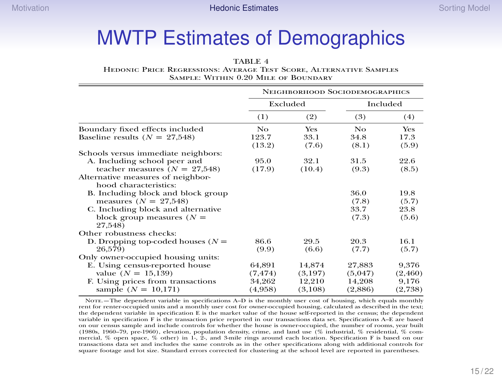## MWTP Estimates of Demographics

#### TABLE 4

Hedonic Price Regressions: Average Test Score, Alternative Samples Sample: Within 0.20 Mile of Boundary

|                                                                                                | NEIGHBORHOOD SOCIODEMOGRAPHICS |                   |                   |                  |  |
|------------------------------------------------------------------------------------------------|--------------------------------|-------------------|-------------------|------------------|--|
|                                                                                                | Excluded                       |                   |                   | Included         |  |
|                                                                                                | (1)                            | (2)               | (3)               | (4)              |  |
| Boundary fixed effects included                                                                | No                             | <b>Yes</b>        | No                | Yes              |  |
| Baseline results ( $N = 27,548$ )                                                              | 123.7<br>(13.2)                | 33.1<br>(7.6)     | 34.8<br>(8.1)     | 17.3<br>(5.9)    |  |
| Schools versus immediate neighbors:                                                            |                                |                   |                   |                  |  |
| A. Including school peer and<br>teacher measures ( $N = 27,548$ )                              | 95.0<br>(17.9)                 | 32.1<br>(10.4)    | 31.5<br>(9.3)     | 22.6<br>(8.5)    |  |
| Alternative measures of neighbor-<br>hood characteristics:                                     |                                |                   |                   |                  |  |
| B. Including block and block group<br>measures $(N = 27,548)$                                  |                                |                   | 36.0<br>(7.8)     | 19.8<br>(5.7)    |  |
| C. Including block and alternative<br>block group measures $(N =$<br>27,548)                   |                                |                   | 33.7<br>(7.3)     | 23.8<br>(5.6)    |  |
| Other robustness checks:                                                                       |                                |                   |                   |                  |  |
| D. Dropping top-coded houses ( $N =$                                                           | 86.6                           | 29.5              | 20.3              | 16.1             |  |
| 26.579)                                                                                        | (9.9)                          | (6.6)             | (7.7)             | (5.7)            |  |
| Only owner-occupied housing units:<br>E. Using census-reported house<br>value ( $N = 15,139$ ) | 64,891<br>(7, 474)             | 14,874<br>(3,197) | 27,883<br>(5,047) | 9,376<br>(2,460) |  |
| F. Using prices from transactions<br>sample $(N = 10,171)$                                     | 34,262<br>(4,958)              | 12,210<br>(3,108) | 14,208<br>(2,886) | 9,176<br>(2,738) |  |

NOTE.—The dependent variable in specifications A–D is the monthly user cost of housing, which equals monthly rent for renter-occupied units and a monthly user cost for owner-occupied housing, calculated as described in the text; the dependent variable in specification E is the market value of the house self-reported in the census; the dependent variable in specification F is the transaction price reported in our transactions data set. Specifications A–E are based on our census sample and include controls for whether the house is owner-occupied, the number of rooms, year built (1980s, 1960–79, pre-1960), elevation, population density, crime, and land use (% industrial, % residential, % commercial, % open space, % other) in 1-, 2-, and 3-mile rings around each location. Specification F is based on our transactions data set and includes the same controls as in the other specifications along with additional controls for square footage and lot size. Standard errors corrected for clustering at the school level are reported in parentheses.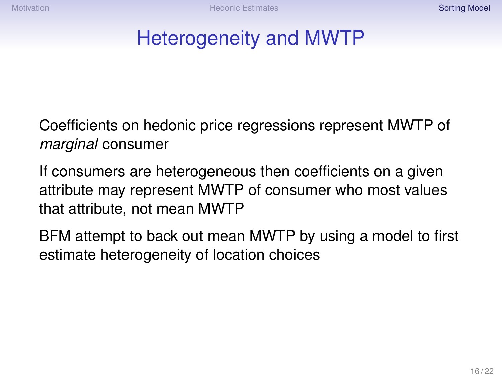## <span id="page-15-0"></span>Heterogeneity and MWTP

Coefficients on hedonic price regressions represent MWTP of *marginal* consumer

If consumers are heterogeneous then coefficients on a given attribute may represent MWTP of consumer who most values that attribute, not mean MWTP

BFM attempt to back out mean MWTP by using a model to first estimate heterogeneity of location choices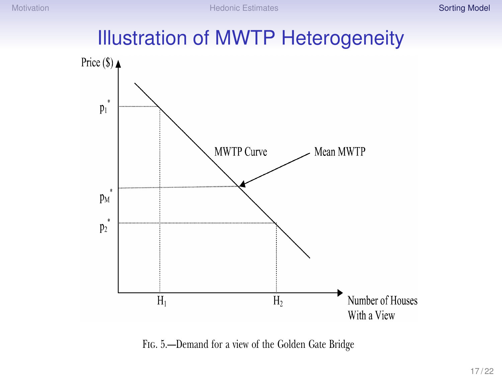## **Illustration of MWTP Heterogeneity**



Fig. 5.—Demand for a view of the Golden Gate Bridge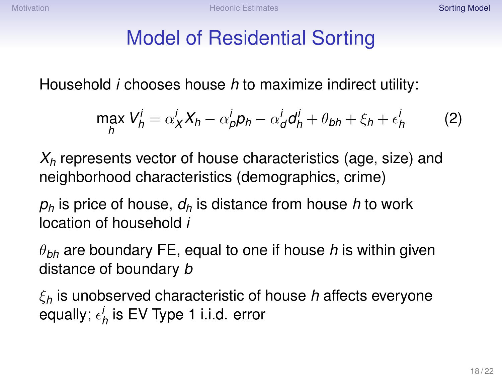## Model of Residential Sorting

Household *i* chooses house *h* to maximize indirect utility:

$$
\max_{h} V_h^i = \alpha_X^i X_h - \alpha_p^i p_h - \alpha_d^i d_h^i + \theta_{bh} + \xi_h + \epsilon_h^i
$$
 (2)

*X<sup>h</sup>* represents vector of house characteristics (age, size) and neighborhood characteristics (demographics, crime)

*p<sup>h</sup>* is price of house, *d<sup>h</sup>* is distance from house *h* to work location of household *i*

θ*bh* are boundary FE, equal to one if house *h* is within given distance of boundary *b*

ξ*<sup>h</sup>* is unobserved characteristic of house *h* affects everyone equally;  $\epsilon_{h}^{i}$  is EV Type 1 i.i.d. error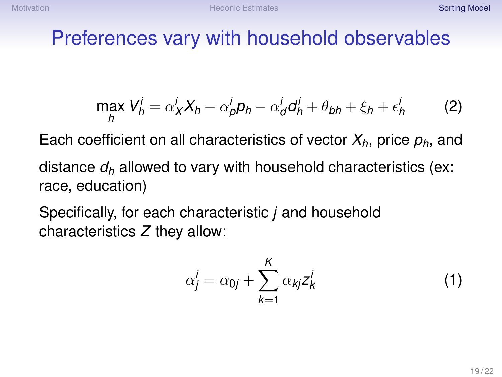#### Preferences vary with household observables

$$
\max_{h} V_h^i = \alpha_X^i X_h - \alpha_p^i p_h - \alpha_d^i d_h^i + \theta_{bh} + \xi_h + \epsilon_h^i
$$
 (2)

Each coefficient on all characteristics of vector *Xh*, price *ph*, and distance *d<sup>h</sup>* allowed to vary with household characteristics (ex:

race, education)

Specifically, for each characteristic *j* and household characteristics *Z* they allow:

$$
\alpha_j^i = \alpha_{0j} + \sum_{k=1}^K \alpha_{kj} z_k^i \tag{1}
$$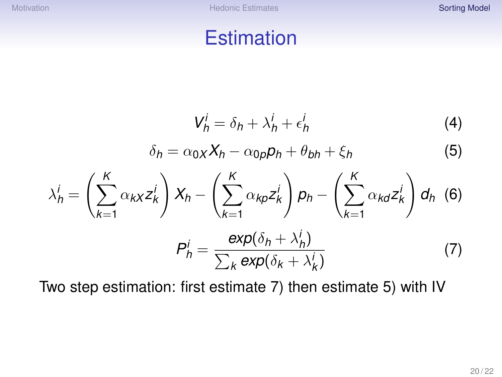#### **Estimation**

$$
V_h^i = \delta_h + \lambda_h^i + \epsilon_h^i \tag{4}
$$

$$
\delta_h = \alpha_0 X h - \alpha_0 \rho h + \theta_{bh} + \xi_h \tag{5}
$$

$$
\lambda_h^i = \left(\sum_{k=1}^K \alpha_{kX} z_k^i\right) X_h - \left(\sum_{k=1}^K \alpha_{kP} z_k^i\right) p_h - \left(\sum_{k=1}^K \alpha_{kQ} z_k^i\right) d_h \tag{6}
$$

$$
P_h^i = \frac{\exp(\delta_h + \lambda_h^i)}{\sum_k \exp(\delta_k + \lambda_k^i)} \tag{7}
$$

Two step estimation: first estimate 7) then estimate 5) with IV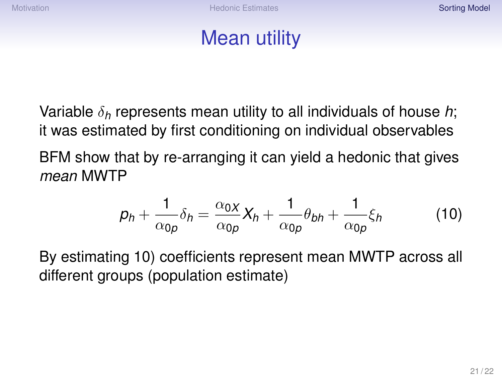## Mean utility

Variable δ*<sup>h</sup>* represents mean utility to all individuals of house *h*; it was estimated by first conditioning on individual observables BFM show that by re-arranging it can yield a hedonic that gives *mean* MWTP

$$
p_h + \frac{1}{\alpha_{0p}} \delta_h = \frac{\alpha_{0X}}{\alpha_{0p}} X_h + \frac{1}{\alpha_{0p}} \theta_{bh} + \frac{1}{\alpha_{0p}} \xi_h \tag{10}
$$

By estimating 10) coefficients represent mean MWTP across all different groups (population estimate)